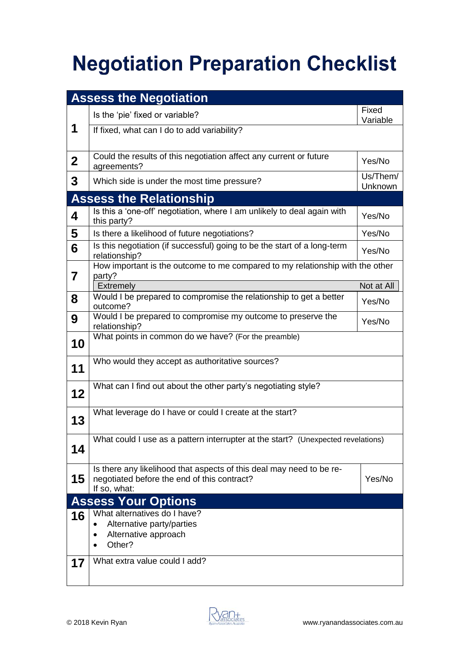## **Negotiation Preparation Checklist**

| <b>Assess the Negotiation</b>  |                                                                                                                                     |                            |  |  |  |
|--------------------------------|-------------------------------------------------------------------------------------------------------------------------------------|----------------------------|--|--|--|
|                                | Is the 'pie' fixed or variable?                                                                                                     | Fixed<br>Variable          |  |  |  |
| 1                              | If fixed, what can I do to add variability?                                                                                         |                            |  |  |  |
| $\mathbf{2}$                   | Could the results of this negotiation affect any current or future<br>agreements?                                                   | Yes/No                     |  |  |  |
| 3                              | Which side is under the most time pressure?                                                                                         | Us/Them/<br><b>Unknown</b> |  |  |  |
| <b>Assess the Relationship</b> |                                                                                                                                     |                            |  |  |  |
| 4                              | Is this a 'one-off' negotiation, where I am unlikely to deal again with<br>this party?                                              | Yes/No                     |  |  |  |
| 5                              | Is there a likelihood of future negotiations?                                                                                       | Yes/No                     |  |  |  |
| 6                              | Is this negotiation (if successful) going to be the start of a long-term<br>relationship?                                           | Yes/No                     |  |  |  |
| 7                              | How important is the outcome to me compared to my relationship with the other<br>party?                                             |                            |  |  |  |
|                                | Extremely                                                                                                                           | Not at All                 |  |  |  |
| 8                              | Would I be prepared to compromise the relationship to get a better<br>outcome?                                                      | Yes/No                     |  |  |  |
| 9                              | Would I be prepared to compromise my outcome to preserve the<br>relationship?                                                       | Yes/No                     |  |  |  |
| 10                             | What points in common do we have? (For the preamble)                                                                                |                            |  |  |  |
| 11                             | Who would they accept as authoritative sources?                                                                                     |                            |  |  |  |
| 12                             | What can I find out about the other party's negotiating style?                                                                      |                            |  |  |  |
| 13                             | What leverage do I have or could I create at the start?                                                                             |                            |  |  |  |
| 14                             | What could I use as a pattern interrupter at the start? (Unexpected revelations)                                                    |                            |  |  |  |
| 15                             | Is there any likelihood that aspects of this deal may need to be re-<br>negotiated before the end of this contract?<br>If so, what: | Yes/No                     |  |  |  |
| <b>Assess Your Options</b>     |                                                                                                                                     |                            |  |  |  |
| 16                             | What alternatives do I have?<br>Alternative party/parties<br>Alternative approach<br>Other?                                         |                            |  |  |  |
| 17                             | What extra value could I add?                                                                                                       |                            |  |  |  |